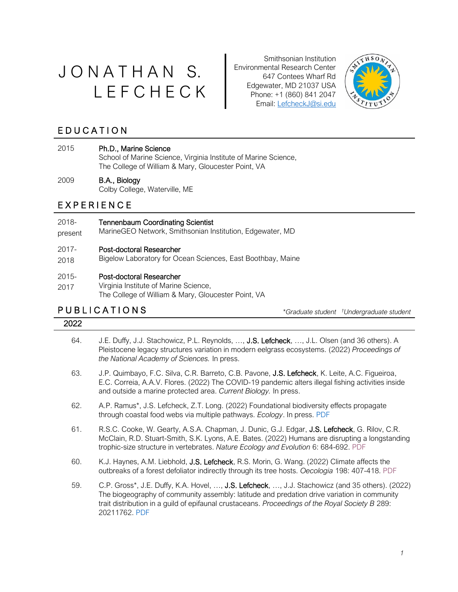# J O N A T H A N S. L E F C H E C K

Smithsonian Institution Environmental Research Center 647 Contees Wharf Rd Edgewater, MD 21037 USA Phone: +1 (860) 841 2047 Email: LefcheckJ@si.edu



### **EDUCATION**

### 2015 Ph.D., Marine Science

School of Marine Science, Virginia Institute of Marine Science, The College of William & Mary, Gloucester Point, VA

### 2009 B.A., Biology

Colby College, Waterville, ME

### E X P E R I E N C E

### 2018- Tennenbaum Coordinating Scientist

present MarineGEO Network, Smithsonian Institution, Edgewater, MD

### 2017- Post-doctoral Researcher

2018 Bigelow Laboratory for Ocean Sciences, East Boothbay, Maine

### 2015- Post-doctoral Researcher

2017 Virginia Institute of Marine Science, The College of William & Mary, Gloucester Point, VA

# P U B L I C A T I O N S *\*Graduate student*

*†Undergraduate student* 

### 2022

- 64. J.E. Duffy, J.J. Stachowicz, P.L. Reynolds, …, J.S. Lefcheck, …, J.L. Olsen (and 36 others). A Pleistocene legacy structures variation in modern eelgrass ecosystems. (2022) *Proceedings of the National Academy of Sciences.* In press.
- 63. J.P. Quimbayo, F.C. Silva, C.R. Barreto, C.B. Pavone, J.S. Lefcheck, K. Leite, A.C. Figueiroa, E.C. Correia, A.A.V. Flores. (2022) The COVID-19 pandemic alters illegal fishing activities inside and outside a marine protected area. *Current Biology.* In press.
- 62. A.P. Ramus\*, J.S. Lefcheck, Z.T. Long. (2022) Foundational biodiversity effects propagate through coastal food webs via multiple pathways. *Ecology*. In press. [PDF](https://doi.org/10.1002/ecy.3796)
- 61. R.S.C. Cooke, W. Gearty, A.S.A. Chapman, J. Dunic, G.J. Edgar, J.S. Lefcheck, G. Rilov, C.R. McClain, R.D. Stuart-Smith, S.K. Lyons, A.E. Bates. (2022) Humans are disrupting a longstanding trophic-size structure in vertebrates. *Nature Ecology and Evolution* 6: 684-692. [PDF](https://doi.org/10.1038/s41559-022-01726-x)
- 60. K.J. Haynes, A.M. Liebhold, J.S. Lefcheck, R.S. Morin, G. Wang. (2022) Climate affects the outbreaks of a forest defoliator indirectly through its tree hosts. *Oecologia* 198: 407-418. [PDF](https://doi.org/10.1007/s00442-022-05123-w)
- 59. C.P. Gross\*, J.E. Duffy, K.A. Hovel, ..., J.S. Lefcheck, ..., J.J. Stachowicz (and 35 others). (2022) The biogeography of community assembly: latitude and predation drive variation in community trait distribution in a guild of epifaunal crustaceans. *Proceedings of the Royal Society B* 289: 20211762. [PDF](https://doi.org/10.1098/rspb.2021.1762)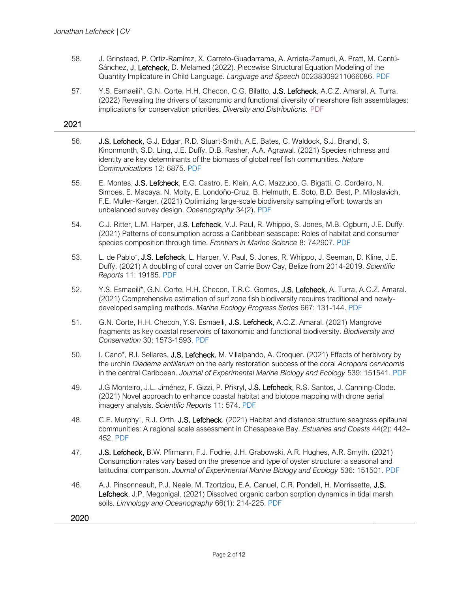- 58. J. Grinstead, P. Ortiz-Ramírez, X. Carreto-Guadarrama, A. Arrieta-Zamudi, A. Pratt, M. Cantú-Sánchez, J. Lefcheck, D. Melamed (2022). Piecewise Structural Equation Modeling of the Quantity Implicature in Child Language. *Language and Speech* 00238309211066086. [PDF](https://doi.org/10.1177/00238309211066086)
- 57. Y.S. Esmaeili\*, G.N. Corte, H.H. Checon, C.G. Bilatto, J.S. Lefcheck, A.C.Z. Amaral, A. Turra. (2022) Revealing the drivers of taxonomic and functional diversity of nearshore fish assemblages: implications for conservation priorities. *Diversity and Distributions.* [PDF](https://doi.org/10.1111/ddi.13453)

### 2021

- 56. J.S. Lefcheck, G.J. Edgar, R.D. Stuart-Smith, A.E. Bates, C. Waldock, S.J. Brandl, S. Kinonmonth, S.D. Ling, J.E. Duffy, D.B. Rasher, A.A. Agrawal. (2021) Species richness and identity are key determinants of the biomass of global reef fish communities. *Nature Communications* 12: 6875. [PDF](https://doi.org/10.1038/s41467-021-27212-9)
- 55. E. Montes, J.S. Lefcheck, E.G. Castro, E. Klein, A.C. Mazzuco, G. Bigatti, C. Cordeiro, N. Simoes, E. Macaya, N. Moity, E. Londoño-Cruz, B. Helmuth, E. Soto, B.D. Best, P. Miloslavich, F.E. Muller-Karger. (2021) Optimizing large-scale biodiversity sampling effort: towards an unbalanced survey design. *Oceanography* 34(2). [PDF](https://doi.org/10.5670/oceanog.2021.216)
- 54. C.J. Ritter, L.M. Harper, J.S. Lefcheck, V.J. Paul, R. Whippo, S. Jones, M.B. Ogburn, J.E. Duffy. (2021) Patterns of consumption across a Caribbean seascape: Roles of habitat and consumer species composition through time. *Frontiers in Marine Science* 8: 742907. [PDF](https://doi.org/10.3389/fmars.2021.742907)
- 53. L. de Pablo<sup>†</sup>, J.S. Lefcheck, L. Harper, V. Paul, S. Jones, R. Whippo, J. Seeman, D. Kline, J.E. Duffy. (2021) A doubling of coral cover on Carrie Bow Cay, Belize from 2014-2019. *Scientific Reports* 11: 19185. [PDF](https://doi.org/10.1038/s41598-021-96799-2)
- 52. Y.S. Esmaeili\*, G.N. Corte, H.H. Checon, T.R.C. Gomes, J.S. Lefcheck, A. Turra, A.C.Z. Amaral. (2021) Comprehensive estimation of surf zone fish biodiversity requires traditional and newlydeveloped sampling methods. *Marine Ecology Progress Series* 667: 131-144. [PDF](https://doi.org/10.3354/meps13711)
- 51. G.N. Corte, H.H. Checon, Y.S. Esmaeili, J.S. Lefcheck, A.C.Z. Amaral. (2021) Mangrove fragments as key coastal reservoirs of taxonomic and functional biodiversity. *Biodiversity and Conservation* 30: 1573-1593. [PDF](https://doi.org/10.1007/s10531-021-02158-y)
- 50. I. Cano\*, R.I. Sellares, J.S. Lefcheck, M. Villalpando, A. Croquer. (2021) Effects of herbivory by the urchin *Diadema antillarum* on the early restoration success of the coral *Acropora cervicornis*  in the central Caribbean. *Journal of Experimental Marine Biology and Ecology* 539: 151541. [PDF](https://doi.org/10.1016/j.jembe.2021.151541)
- 49. J.G Monteiro, J.L. Jiménez, F. Gizzi, P. Přikryl, J.S. Lefcheck, R.S. Santos, J. Canning-Clode. (2021) Novel approach to enhance coastal habitat and biotope mapping with drone aerial imagery analysis. *Scientific Reports* 11: 574. [PDF](https://doi.org/10.1038/s41598-020-80612-7)
- 48. C.E. Murphy<sup>+</sup>, R.J. Orth, J.S. Lefcheck. (2021) Habitat and distance structure seagrass epifaunal communities: A regional scale assessment in Chesapeake Bay. *Estuaries and Coasts* 44(2): 442– 452. [PDF](https://doi.org/10.1007/s12237-020-00864-4)
- 47. J.S. Lefcheck, B.W. Pfirmann, F.J. Fodrie, J.H. Grabowski, A.R. Hughes, A.R. Smyth. (2021) Consumption rates vary based on the presence and type of oyster structure: a seasonal and latitudinal comparison. *Journal of Experimental Marine Biology and Ecology* 536: 151501. [PDF](https://doi.org/10.1016/j.jembe.2020.151501)
- 46. A.J. Pinsonneault, P.J. Neale, M. Tzortziou, E.A. Canuel, C.R. Pondell, H. Morrissette, J.S. Lefcheck, J.P. Megonigal. (2021) Dissolved organic carbon sorption dynamics in tidal marsh soils. *Limnology and Oceanography* 66(1): 214-225. [PDF](https://dx.doi.org/10.1002/lno.11598)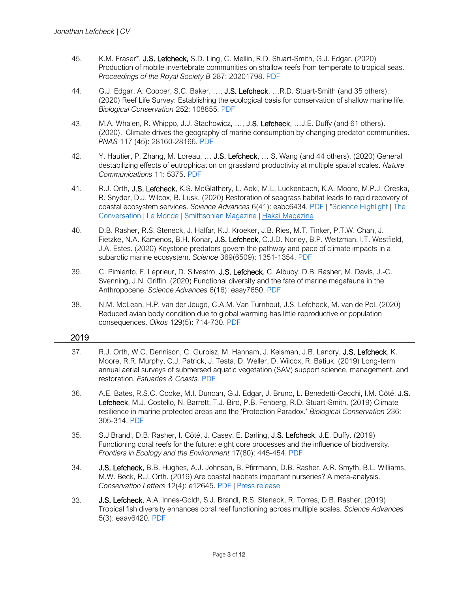- 45. K.M. Fraser\*, J.S. Lefcheck, S.D. Ling, C. Mellin, R.D. Stuart-Smith, G.J. Edgar. (2020) Production of mobile invertebrate communities on shallow reefs from temperate to tropical seas. *Proceedings of the Royal Society B* 287: 20201798. [PDF](https://doi.org/10.1098/rspb.2020.1798)
- 44. G.J. Edgar, A. Cooper, S.C. Baker, ..., J.S. Lefcheck, ...R.D. Stuart-Smith (and 35 others). (2020) Reef Life Survey: Establishing the ecological basis for conservation of shallow marine life. *Biological Conservation* 252: 108855. [PDF](https://dx.doi.org/10.1016/j.biocon.2020.108855)
- 43. M.A. Whalen, R. Whippo, J.J. Stachowicz, ..., J.S. Lefcheck, ...J.E. Duffy (and 61 others). (2020). Climate drives the geography of marine consumption by changing predator communities. *PNAS* 117 (45): 28160-28166. [PDF](https://dx.doi.org/10.1073/pnas.2005255117)
- 42. Y. Hautier, P. Zhang, M. Loreau, ... J.S. Lefcheck, ... S. Wang (and 44 others). (2020) General destabilizing effects of eutrophication on grassland productivity at multiple spatial scales. *Nature Communications* 11: 5375. [PDF](https://dx.doi.org/10.1038/s41467-020-19252-4)
- 41. R.J. Orth, J.S. Lefcheck, K.S. McGlathery, L. Aoki, M.L. Luckenbach, K.A. Moore, M.P.J. Oreska, R. Snyder, D.J. Wilcox, B. Lusk. (2020) Restoration of seagrass habitat leads to rapid recovery of coastal ecosystem services. *Science Advances* 6(41): eabc6434. [PDF](https://dx.doi.org/10.1126/sciadv.abc6434) | [\\*Science Highlight](https://science.sciencemag.org/content/370/6513/182.6) | [The](https://theconversation.com/restoring-seagrasses-can-bring-coastal-bays-back-to-life-147798)  [Conversation](https://theconversation.com/restoring-seagrasses-can-bring-coastal-bays-back-to-life-147798) | [Le Monde](https://www.lemonde.fr/sciences/article/2020/11/18/a-la-rescousse-des-prairies-sous-marines-de-la-cote-est-des-etats-unis-a-la-mediterranee_6060241_1650684.html) [| Smithsonian Magazine](https://www.smithsonianmag.com/science-nature/seagrass-ocean-secret-weapon-climate-change-180976235/) [| Hakai Magazine](https://www.hakaimagazine.com/news/the-grass-is-greener-in-virginia/)
- 40. D.B. Rasher, R.S. Steneck, J. Halfar, K.J. Kroeker, J.B. Ries, M.T. Tinker, P.T.W. Chan, J. Fietzke, N.A. Kamenos, B.H. Konar, J.S. Lefcheck, C.J.D. Norley, B.P. Weitzman, I.T. Westfield, J.A. Estes. (2020) Keystone predators govern the pathway and pace of climate impacts in a subarctic marine ecosystem. *Science* 369(6509): 1351-1354. [PDF](https://dx.doi.org/10.1126/science.aav7515)
- 39. C. Pimiento, F. Leprieur, D. Silvestro, J.S. Lefcheck, C. Albuoy, D.B. Rasher, M. Davis, J.-C. Svenning, J.N. Griffin. (2020) Functional diversity and the fate of marine megafauna in the Anthropocene. *Science Advances* 6(16): eaay7650. [PDF](https://dx.doi.org/10.1126/sciadv.aay7650)
- 38. N.M. McLean, H.P. van der Jeugd, C.A.M. Van Turnhout, J.S. Lefcheck, M. van de Pol. (2020) Reduced avian body condition due to global warming has little reproductive or population consequences. *Oikos* 129(5): 714-730. [PDF](https://doi.org/10.1111/oik.06802)

### 2019

- 37. R.J. Orth, W.C. Dennison, C. Gurbisz, M. Hannam, J. Keisman, J.B. Landry, J.S. Lefcheck, K. Moore, R.R. Murphy, C.J. Patrick, J. Testa, D. Weller, D. Wilcox, R. Batiuk. (2019) Long-term annual aerial surveys of submersed aquatic vegetation (SAV) support science, management, and restoration. *Estuaries & Coasts*. [PDF](https://doi.org/10.1007/s12237-019-00651-w)
- 36. A.E. Bates, R.S.C. Cooke, M.I. Duncan, G.J. Edgar, J. Bruno, L. Benedetti-Cecchi, I.M. Côté, J.S. Lefcheck, M.J. Costello, N. Barrett, T.J. Bird, P.B. Fenberg, R.D. Stuart-Smith. (2019) Climate resilience in marine protected areas and the 'Protection Paradox.' *Biological Conservation* 236: 305-314. [PDF](https://doi.org/10.1016/j.biocon.2019.05.005)
- 35. S.J Brandl, D.B. Rasher, I. Côté, J. Casey, E. Darling, J.S. Lefcheck, J.E. Duffy. (2019) Functioning coral reefs for the future: eight core processes and the influence of biodiversity. *Frontiers in Ecology and the Environment* 17(80): 445-454. [PDF](https://doi.org/10.1002/fee.2088)
- 34. J.S. Lefcheck, B.B. Hughes, A.J. Johnson, B. Pfirrmann, D.B. Rasher, A.R. Smyth, B.L. Williams, M.W. Beck, R.J. Orth. (2019) Are coastal habitats important nurseries? A meta-analysis. *Conservation Letters* 12(4): e12645. [PDF](https://doi.org/10.1111/conl.12645) | [Press release](https://www.vims.edu/newsandevents/topstories/2019/nursery_value.php)
- 33. J.S. Lefcheck, A.A. Innes-Gold<sup>†</sup>, S.J. Brandl, R.S. Steneck, R. Torres, D.B. Rasher. (2019) Tropical fish diversity enhances coral reef functioning across multiple scales. *Science Advances* 5(3): eaav6420. [PDF](http://dx.doi.org/10.1126/sciadv.aav6420)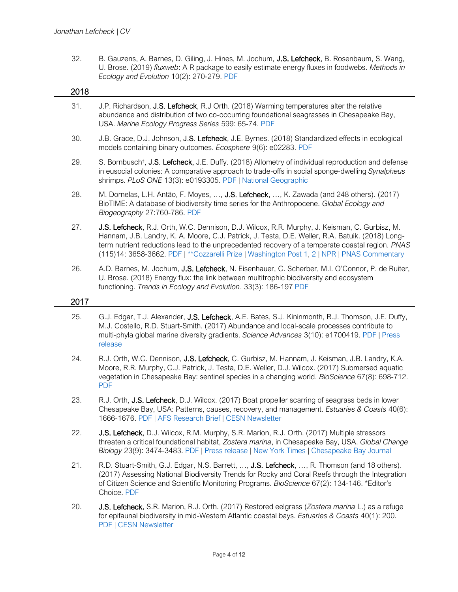[release](http://www.imas.utas.edu.au/news/news-items/new-study-predicts-worldwide-change-in-shallow-reef-ecosystems-as-waters-warm)

32. B. Gauzens, A. Barnes, D. Giling, J. Hines, M. Jochum, J.S. Lefcheck, B. Rosenbaum, S. Wang, U. Brose. (2019) *fluxweb*: A R package to easily estimate energy fluxes in foodwebs. *Methods in Ecology and Evolution* 10(2): 270-279. [PDF](https://doi.org/10.1111/2041-210X.13109)

| 2018 |                                                                                                                                                                                                                                                                                                                                                                                                      |
|------|------------------------------------------------------------------------------------------------------------------------------------------------------------------------------------------------------------------------------------------------------------------------------------------------------------------------------------------------------------------------------------------------------|
| 31.  | J.P. Richardson, J.S. Lefcheck, R.J Orth. (2018) Warming temperatures alter the relative<br>abundance and distribution of two co-occurring foundational seagrasses in Chesapeake Bay,<br>USA. Marine Ecology Progress Series 599: 65-74. PDF                                                                                                                                                         |
| 30.  | J.B. Grace, D.J. Johnson, J.S. Lefcheck, J.E. Byrnes. (2018) Standardized effects in ecological<br>models containing binary outcomes. Ecosphere 9(6): e02283. PDF                                                                                                                                                                                                                                    |
| 29.  | S. Bornbusch <sup>†</sup> , J.S. Lefcheck, J.E. Duffy. (2018) Allometry of individual reproduction and defense<br>in eusocial colonies: A comparative approach to trade-offs in social sponge-dwelling Synalpheus<br>shrimps. PLoS ONE 13(3): e0193305. PDF   National Geographic                                                                                                                    |
| 28.  | M. Dornelas, L.H. Antão, F. Moyes, , J.S. Lefcheck, , K. Zawada (and 248 others). (2017)<br>BioTIME: A database of biodiversity time series for the Anthropocene. Global Ecology and<br>Biogeography 27:760-786. PDF                                                                                                                                                                                 |
| 27.  | J.S. Lefcheck, R.J. Orth, W.C. Dennison, D.J. Wilcox, R.R. Murphy, J. Keisman, C. Gurbisz, M.<br>Hannam, J.B. Landry, K. A. Moore, C.J. Patrick, J. Testa, D.E. Weller, R.A. Batuik. (2018) Long-<br>term nutrient reductions lead to the unprecedented recovery of a temperate coastal region. PNAS<br>(115)14: 3658-3662. PDF   ** Cozzarelli Prize   Washington Post 1, 2   NPR   PNAS Commentary |
| 26.  | A.D. Barnes, M. Jochum, J.S. Lefcheck, N. Eisenhauer, C. Scherber, M.I. O'Connor, P. de Ruiter,<br>U. Brose. (2018) Energy flux: the link between multitrophic biodiversity and ecosystem<br>functioning. Trends in Ecology and Evolution. 33(3): 186-197 PDF                                                                                                                                        |
| 2017 |                                                                                                                                                                                                                                                                                                                                                                                                      |
| 25.  | G.J. Edgar, T.J. Alexander, J.S. Lefcheck, A.E. Bates, S.J. Kininmonth, R.J. Thomson, J.E. Duffy,<br>M.J. Costello, R.D. Stuart-Smith. (2017) Abundance and local-scale processes contribute to<br>multi-phyla global marine diversity gradients. Science Advances 3(10): e1700419. PDF   Press                                                                                                      |

- 24. R.J. Orth, W.C. Dennison, J.S. Lefcheck, C. Gurbisz, M. Hannam, J. Keisman, J.B. Landry, K.A. Moore, R.R. Murphy, C.J. Patrick, J. Testa, D.E. Weller, D.J. Wilcox. (2017) Submersed aquatic vegetation in Chesapeake Bay: sentinel species in a changing world. *BioScience* 67(8): 698-712. [PDF](https://doi.org/10.1093/biosci/bix058)
- 23. R.J. Orth, J.S. Lefcheck, D.J. Wilcox. (2017) Boat propeller scarring of seagrass beds in lower Chesapeake Bay, USA: Patterns, causes, recovery, and management. *Estuaries & Coasts* 40(6): 1666-1676. [PDF](https://dx.doi.org/10.1007/s12237-017-0239-9) | [AFS Research Brief](http://habitat.fisheries.org/causes-of-seagrass-damage-in-the-lower-chesapeake-bay/) | [CESN Newsletter](http://www.erf.org/cesn-august-2017)
- 22. J.S. Lefcheck, D.J. Wilcox, R.M. Murphy, S.R. Marion, R.J. Orth. (2017) Multiple stressors threaten a critical foundational habitat, *Zostera marina*, in Chesapeake Bay, USA. *Global Change Biology* 23(9): 3474-3483. [PDF](http://dx.doi.org/10.1111/gcb.13623) [| Press release](http://www.vims.edu/newsandevents/topstories/eelgrass_loss.php) | [New York Times](https://www.nytimes.com/2017/02/16/science/seagrass-coral-reefs-pathogens-global-warming.html) | [Chesapeake Bay Journal](http://www.bayjournal.com/article/bay_grass_restoration_threatened_by_warming_scientists_say)
- 21. R.D. Stuart-Smith, G.J. Edgar, N.S. Barrett, ..., J.S. Lefcheck, ..., R. Thomson (and 18 others). (2017) Assessing National Biodiversity Trends for Rocky and Coral Reefs through the Integration of Citizen Science and Scientific Monitoring Programs. *BioScience* 67(2): 134-146. \*Editor's Choice. [PDF](https://doi.org/10.1093/biosci/biw180)
- 20. J.S. Lefcheck, S.R. Marion, R.J. Orth. (2017) Restored eelgrass (*Zostera marina* L.) as a refuge for epifaunal biodiversity in mid-Western Atlantic coastal bays. *Estuaries & Coasts* 40(1): 200. [PDF](http://dx.doi.org/10.1007/s12237-016-0141-x) | [CESN Newsletter](http://www.erf.org/cesn-january-2017#Article3)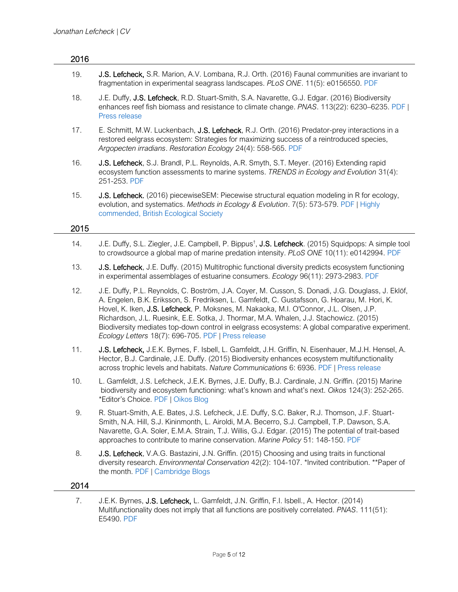| 2016 |                                                                                                                                                                                                                                                                                                                                                                                                                                                                                                                                                 |
|------|-------------------------------------------------------------------------------------------------------------------------------------------------------------------------------------------------------------------------------------------------------------------------------------------------------------------------------------------------------------------------------------------------------------------------------------------------------------------------------------------------------------------------------------------------|
| 19.  | J.S. Lefcheck, S.R. Marion, A.V. Lombana, R.J. Orth. (2016) Faunal communities are invariant to<br>fragmentation in experimental seagrass landscapes. PLoS ONE. 11(5): e0156550. PDF                                                                                                                                                                                                                                                                                                                                                            |
| 18.  | J.E. Duffy, J.S. Lefcheck, R.D. Stuart-Smith, S.A. Navarette, G.J. Edgar. (2016) Biodiversity<br>enhances reef fish biomass and resistance to climate change. PNAS. 113(22): 6230–6235. PDF  <br>Press release                                                                                                                                                                                                                                                                                                                                  |
| 17.  | E. Schmitt, M.W. Luckenbach, J.S. Lefcheck, R.J. Orth. (2016) Predator-prey interactions in a<br>restored eelgrass ecosystem: Strategies for maximizing success of a reintroduced species,<br>Argopecten irradians. Restoration Ecology 24(4): 558-565. PDF                                                                                                                                                                                                                                                                                     |
| 16.  | J.S. Lefcheck, S.J. Brandl, P.L. Reynolds, A.R. Smyth, S.T. Meyer. (2016) Extending rapid<br>ecosystem function assessments to marine systems. TRENDS in Ecology and Evolution 31(4):<br>251-253. PDF                                                                                                                                                                                                                                                                                                                                           |
| 15.  | J.S. Lefcheck. (2016) piecewiseSEM: Piecewise structural equation modeling in R for ecology,<br>evolution, and systematics. Methods in Ecology & Evolution. 7(5): 573-579. PDF   Highly<br>commended, British Ecological Society                                                                                                                                                                                                                                                                                                                |
| 2015 |                                                                                                                                                                                                                                                                                                                                                                                                                                                                                                                                                 |
| 14.  | J.E. Duffy, S.L. Ziegler, J.E. Campbell, P. Bippus <sup>†</sup> , J.S. Lefcheck. (2015) Squidpops: A simple tool<br>to crowdsource a global map of marine predation intensity. PLoS ONE 10(11): e0142994. PDF                                                                                                                                                                                                                                                                                                                                   |
| 13.  | J.S. Lefcheck, J.E. Duffy. (2015) Multitrophic functional diversity predicts ecosystem functioning<br>in experimental assemblages of estuarine consumers. Ecology 96(11): 2973-2983. PDF                                                                                                                                                                                                                                                                                                                                                        |
| 12.  | J.E. Duffy, P.L. Reynolds, C. Boström, J.A. Coyer, M. Cusson, S. Donadi, J.G. Douglass, J. Eklöf,<br>A. Engelen, B.K. Eriksson, S. Fredriksen, L. Gamfeldt, C. Gustafsson, G. Hoarau, M. Hori, K.<br>Hovel, K. Iken, J.S. Lefcheck, P. Moksnes, M. Nakaoka, M.I. O'Connor, J.L. Olsen, J.P.<br>Richardson, J.L. Ruesink, E.E. Sotka, J. Thormar, M.A. Whalen, J.J. Stachowicz. (2015)<br>Biodiversity mediates top-down control in eelgrass ecosystems: A global comparative experiment.<br>Ecology Letters 18(7): 696-705. PDF   Press release |
| 11.  | J.S. Lefcheck, J.E.K. Byrnes, F. Isbell, L. Gamfeldt, J.H. Griffin, N. Eisenhauer, M.J.H. Hensel, A.<br>Hector, B.J. Cardinale, J.E. Duffy. (2015) Biodiversity enhances ecosystem multifunctionality<br>across trophic levels and habitats. Nature Communications 6: 6936. PDF   Press release                                                                                                                                                                                                                                                 |
| 10.  | L. Gamfeldt, J.S. Lefcheck, J.E.K. Byrnes, J.E. Duffy, B.J. Cardinale, J.N. Griffin. (2015) Marine<br>biodiversity and ecosystem functioning: what's known and what's next. Oikos 124(3): 252-265.<br>*Editor's Choice. PDF   Oikos Blog                                                                                                                                                                                                                                                                                                        |
| 9.   | R. Stuart-Smith, A.E. Bates, J.S. Lefcheck, J.E. Duffy, S.C. Baker, R.J. Thomson, J.F. Stuart-<br>Smith, N.A. Hill, S.J. Kininmonth, L. Airoldi, M.A. Becerro, S.J. Campbell, T.P. Dawson, S.A.<br>Navarette, G.A. Soler, E.M.A. Strain, T.J. Willis, G.J. Edgar. (2015) The potential of trait-based<br>approaches to contribute to marine conservation. Marine Policy 51: 148-150. PDF                                                                                                                                                        |
| 8.   | J.S. Lefcheck, V.A.G. Bastazini, J.N. Griffin. (2015) Choosing and using traits in functional<br>diversity research. Environmental Conservation 42(2): 104-107. *Invited contribution. **Paper of<br>the month. PDF   Cambridge Blogs                                                                                                                                                                                                                                                                                                           |
| 2014 |                                                                                                                                                                                                                                                                                                                                                                                                                                                                                                                                                 |
| 7.   | J.E.K. Byrnes, J.S. Lefcheck, L. Gamfeldt, J.N. Griffin, F.I. Isbell., A. Hector. (2014)<br>Multifunctionality does not imply that all functions are positively correlated. PNAS. 111(51):<br>E5490. PDF                                                                                                                                                                                                                                                                                                                                        |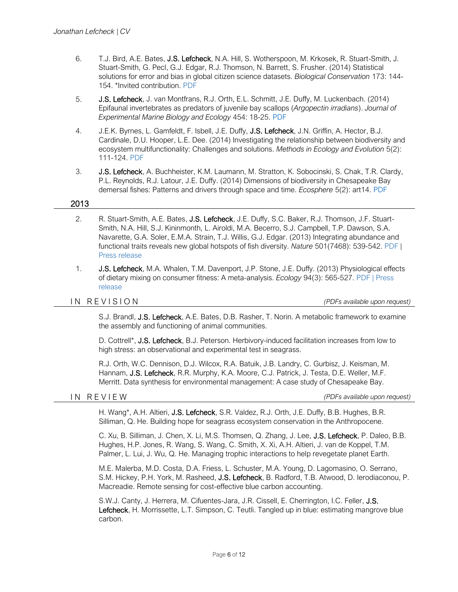- 6. T.J. Bird, A.E. Bates, J.S. Lefcheck, N.A. Hill, S. Wotherspoon, M. Krkosek, R. Stuart-Smith, J. Stuart-Smith, G. Pecl, G.J. Edgar, R.J. Thomson, N. Barrett, S. Frusher. (2014) Statistical solutions for error and bias in global citizen science datasets. *Biological Conservation* 173: 144- 154. \*Invited contribution. [PDF](http://dx.doi.org/10.1016/j.biocon.2013.07.037)
- 5. J.S. Lefcheck, J. van Montfrans, R.J. Orth, E.L. Schmitt, J.E. Duffy, M. Luckenbach. (2014) Epifaunal invertebrates as predators of juvenile bay scallops (*Argopectin irradians*). *Journal of Experimental Marine Biology and Ecology* 454: 18-25. [PDF](http://dx.doi.org/10.1016/j.jembe.2014.01.014)
- 4. J.E.K. Byrnes, L. Gamfeldt, F. Isbell, J.E. Duffy, J.S. Lefcheck, J.N. Griffin, A. Hector, B.J. Cardinale, D.U. Hooper, L.E. Dee. (2014) Investigating the relationship between biodiversity and ecosystem multifunctionality: Challenges and solutions. *Methods in Ecology and Evolution* 5(2): 111-124. [PDF](http://dx.doi.org/10.1111/2041-210X.12143/)
- 3. J.S. Lefcheck, A. Buchheister, K.M. Laumann, M. Stratton, K. Sobocinski, S. Chak, T.R. Clardy, P.L. Reynolds, R.J. Latour, J.E. Duffy. (2014) Dimensions of biodiversity in Chesapeake Bay demersal fishes: Patterns and drivers through space and time. *Ecosphere* 5(2): art14. [PDF](http://www.esajournals.org/doi/pdf/10.1890/ES13-00284.1)

### 2013

- 2. R. Stuart-Smith, A.E. Bates, J.S. Lefcheck, J.E. Duffy, S.C. Baker, R.J. Thomson, J.F. Stuart-Smith, N.A. Hill, S.J. Kininmonth, L. Airoldi, M.A. Becerro, S.J. Campbell, T.P. Dawson, S.A. Navarette, G.A. Soler, E.M.A. Strain, T.J. Willis, G.J. Edgar. (2013) Integrating abundance and functional traits reveals new global hotspots of fish diversity. *Nature* 501(7468): 539-542. [PDF](http://www.nature.com/nature/journal/v501/n7468/pdf/nature12529.pdf) | [Press release](http://www.vims.edu/newsandevents/topstories/functional_diversity.php)
- 1. J.S. Lefcheck, M.A. Whalen, T.M. Davenport, J.P. Stone, J.E. Duffy. (2013) Physiological effects of dietary mixing on consumer fitness: A meta-analysis. *Ecology* 94(3): 565-527. [PDF](http://www.esajournals.org/doi/pdf/10.1890/12-0192.1) | [Press](http://www.vims.edu/newsandevents/topstories/diet_mixing.php)  [release](http://www.vims.edu/newsandevents/topstories/diet_mixing.php)

I N R E V I S I O N *(PDFs available upon request)*

S.J. Brandl, J.S. Lefcheck, A.E. Bates, D.B. Rasher, T. Norin. A metabolic framework to examine the assembly and functioning of animal communities.

D. Cottrell\*, J.S. Lefcheck, B.J. Peterson. Herbivory-induced facilitation increases from low to high stress: an observational and experimental test in seagrass.

R.J. Orth, W.C. Dennison, D.J. Wilcox, R.A. Batuik, J.B. Landry, C. Gurbisz, J. Keisman, M. Hannam, J.S. Lefcheck, R.R. Murphy, K.A. Moore, C.J. Patrick, J. Testa, D.E. Weller, M.F. Merritt. Data synthesis for environmental management: A case study of Chesapeake Bay.

I N R E V I E W *(PDFs available upon request)*

H. Wang\*, A.H. Altieri, J.S. Lefcheck, S.R. Valdez, R.J. Orth, J.E. Duffy, B.B. Hughes, B.R. Silliman, Q. He. Building hope for seagrass ecosystem conservation in the Anthropocene.

 C. Xu, B. Silliman, J. Chen, X. Li, M.S. Thomsen, Q. Zhang, J. Lee, J.S. Lefcheck, P. Daleo, B.B. Hughes, H.P. Jones, R. Wang, S. Wang, C. Smith, X. Xi, A.H. Altieri, J. van de Koppel, T.M. Palmer, L. Lui, J. Wu, Q. He. Managing trophic interactions to help revegetate planet Earth.

 M.E. Malerba, M.D. Costa, D.A. Friess, L. Schuster, M.A. Young, D. Lagomasino, O. Serrano, S.M. Hickey, P.H. York, M. Rasheed, J.S. Lefcheck, B. Radford, T.B. Atwood, D. Ierodiaconou, P. Macreadie. Remote sensing for cost-effective blue carbon accounting.

S.W.J. Canty, J. Herrera, M. Cifuentes-Jara, J.R. Cissell, E. Cherrington, I.C. Feller, J.S. Lefcheck, H. Morrissette, L.T. Simpson, C. Teutli. Tangled up in blue: estimating mangrove blue carbon.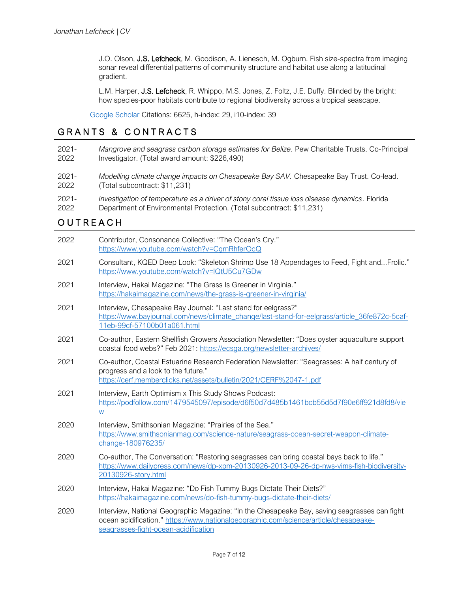J.O. Olson, J.S. Lefcheck, M. Goodison, A. Lienesch, M. Ogburn. Fish size-spectra from imaging sonar reveal differential patterns of community structure and habitat use along a latitudinal gradient.

L.M. Harper, J.S. Lefcheck, R. Whippo, M.S. Jones, Z. Foltz, J.E. Duffy. Blinded by the bright: how species-poor habitats contribute to regional biodiversity across a tropical seascape.

[Google Scholar](https://scholar.google.com/citations?user=wTArpJgAAAAJ&hl=en) Citations: 6625, h-index: 29, i10-index: 39

### GRANTS & CONTRACTS

| $2021 -$ | Mangrove and seagrass carbon storage estimates for Belize. Pew Charitable Trusts. Co-Principal |
|----------|------------------------------------------------------------------------------------------------|
| 2022     | Investigator. (Total award amount: \$226,490)                                                  |
|          |                                                                                                |

- 2021- 2022 *Modelling climate change impacts on Chesapeake Bay SAV.* Chesapeake Bay Trust. Co-lead. (Total subcontract: \$11,231)
- 2021- *Investigation of temperature as a driver of stony coral tissue loss disease dynamics*. Florida
- 2022 Department of Environmental Protection. (Total subcontract: \$11,231)

# **OUTREACH**

| 2022 | Contributor, Consonance Collective: "The Ocean's Cry."<br>https://www.youtube.com/watch?v=CgmRhferOcQ                                                                                                                        |
|------|------------------------------------------------------------------------------------------------------------------------------------------------------------------------------------------------------------------------------|
| 2021 | Consultant, KQED Deep Look: "Skeleton Shrimp Use 18 Appendages to Feed, Fight andFrolic."<br>https://www.youtube.com/watch?v=IQtU5Cu7GDw                                                                                     |
| 2021 | Interview, Hakai Magazine: "The Grass Is Greener in Virginia."<br>https://hakaimagazine.com/news/the-grass-is-greener-in-virginia/                                                                                           |
| 2021 | Interview, Chesapeake Bay Journal: "Last stand for eelgrass?"<br>https://www.bayjournal.com/news/climate_change/last-stand-for-eelgrass/article_36fe872c-5caf-<br>11eb-99cf-57100b01a061.html                                |
| 2021 | Co-author, Eastern Shellfish Growers Association Newsletter: "Does oyster aquaculture support<br>coastal food webs?" Feb 2021: https://ecsga.org/newsletter-archives/                                                        |
| 2021 | Co-author, Coastal Estuarine Research Federation Newsletter: "Seagrasses: A half century of<br>progress and a look to the future."<br>https://cerf.memberclicks.net/assets/bulletin/2021/CERF%2047-1.pdf                     |
| 2021 | Interview, Earth Optimism x This Study Shows Podcast:<br>https://podfollow.com/1479545097/episode/d6f50d7d485b1461bcb55d5d7f90e6ff921d8fd8/vie<br>$\underline{\mathsf{W}}$                                                   |
| 2020 | Interview, Smithsonian Magazine: "Prairies of the Sea."<br>https://www.smithsonianmag.com/science-nature/seagrass-ocean-secret-weapon-climate-<br>change-180976235/                                                          |
| 2020 | Co-author, The Conversation: "Restoring seagrasses can bring coastal bays back to life."<br>https://www.dailypress.com/news/dp-xpm-20130926-2013-09-26-dp-nws-vims-fish-biodiversity-<br>20130926-story.html                 |
| 2020 | Interview, Hakai Magazine: "Do Fish Tummy Bugs Dictate Their Diets?"<br>https://hakaimagazine.com/news/do-fish-tummy-bugs-dictate-their-diets/                                                                               |
| 2020 | Interview, National Geographic Magazine: "In the Chesapeake Bay, saving seagrasses can fight<br>ocean acidification." https://www.nationalgeographic.com/science/article/chesapeake-<br>seagrasses-fight-ocean-acidification |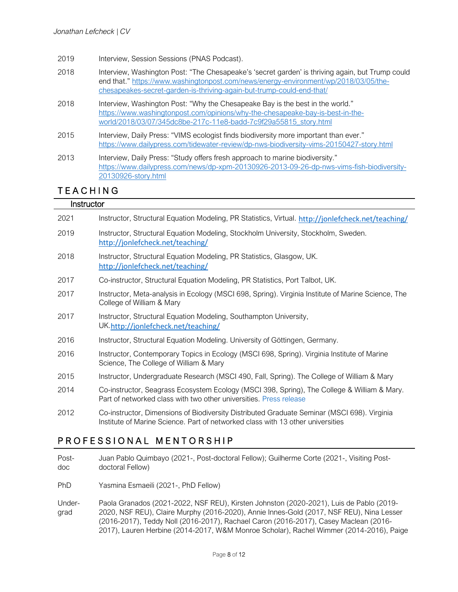- 2019 Interview, Session Sessions (PNAS Podcast).
- 2018 Interview, Washington Post: "The Chesapeake's 'secret garden' is thriving again, but Trump could end that." [https://www.washingtonpost.com/news/energy-environment/wp/2018/03/05/the](https://www.washingtonpost.com/news/energy-environment/wp/2018/03/05/the-chesapeakes-secret-garden-is-thriving-again-but-trump-could-end-that/)[chesapeakes-secret-garden-is-thriving-again-but-trump-could-end-that/](https://www.washingtonpost.com/news/energy-environment/wp/2018/03/05/the-chesapeakes-secret-garden-is-thriving-again-but-trump-could-end-that/)
- 2018 Interview, Washington Post: "Why the Chesapeake Bay is the best in the world." [https://www.washingtonpost.com/opinions/why-the-chesapeake-bay-is-best-in-the](https://www.washingtonpost.com/opinions/why-the-chesapeake-bay-is-best-in-the-world/2018/03/07/345dc8be-217c-11e8-badd-7c9f29a55815_story.html)[world/2018/03/07/345dc8be-217c-11e8-badd-7c9f29a55815\\_story.html](https://www.washingtonpost.com/opinions/why-the-chesapeake-bay-is-best-in-the-world/2018/03/07/345dc8be-217c-11e8-badd-7c9f29a55815_story.html)
- 2015 Interview, Daily Press: "VIMS ecologist finds biodiversity more important than ever." <https://www.dailypress.com/tidewater-review/dp-nws-biodiversity-vims-20150427-story.html>
- 2013 Interview, Daily Press: "Study offers fresh approach to marine biodiversity." [https://www.dailypress.com/news/dp-xpm-20130926-2013-09-26-dp-nws-vims-fish-biodiversity-](https://www.dailypress.com/news/dp-xpm-20130926-2013-09-26-dp-nws-vims-fish-biodiversity-20130926-story.html)[20130926-story.html](https://www.dailypress.com/news/dp-xpm-20130926-2013-09-26-dp-nws-vims-fish-biodiversity-20130926-story.html)

# **TEACHING**

### **Instructor**

| 2021 | Instructor, Structural Equation Modeling, PR Statistics, Virtual. http://jonlefcheck.net/teaching/                                                                             |
|------|--------------------------------------------------------------------------------------------------------------------------------------------------------------------------------|
| 2019 | Instructor, Structural Equation Modeling, Stockholm University, Stockholm, Sweden.<br>http://jonlefcheck.net/teaching/                                                         |
| 2018 | Instructor, Structural Equation Modeling, PR Statistics, Glasgow, UK.<br>http://jonlefcheck.net/teaching/                                                                      |
| 2017 | Co-instructor, Structural Equation Modeling, PR Statistics, Port Talbot, UK.                                                                                                   |
| 2017 | Instructor, Meta-analysis in Ecology (MSCI 698, Spring). Virginia Institute of Marine Science, The<br>College of William & Mary                                                |
| 2017 | Instructor, Structural Equation Modeling, Southampton University,<br>UK.http://jonlefcheck.net/teaching/                                                                       |
| 2016 | Instructor, Structural Equation Modeling. University of Göttingen, Germany.                                                                                                    |
| 2016 | Instructor, Contemporary Topics in Ecology (MSCI 698, Spring). Virginia Institute of Marine<br>Science, The College of William & Mary                                          |
| 2015 | Instructor, Undergraduate Research (MSCI 490, Fall, Spring). The College of William & Mary                                                                                     |
| 2014 | Co-instructor, Seagrass Ecosystem Ecology (MSCI 398, Spring), The College & William & Mary.<br>Part of networked class with two other universities. Press release              |
| 2012 | Co-instructor, Dimensions of Biodiversity Distributed Graduate Seminar (MSCI 698). Virginia<br>Institute of Marine Science. Part of networked class with 13 other universities |

### PROFESSIONAL MENTORSHIP

Postdoc Juan Pablo Quimbayo (2021-, Post-doctoral Fellow); Guilherme Corte (2021-, Visiting Postdoctoral Fellow)

PhD Yasmina Esmaeili (2021-, PhD Fellow)

Undergrad Paola Granados (2021-2022, NSF REU), Kirsten Johnston (2020-2021), Luis de Pablo (2019- 2020, NSF REU), Claire Murphy (2016-2020), Annie Innes-Gold (2017, NSF REU), Nina Lesser (2016-2017), Teddy Noll (2016-2017), Rachael Caron (2016-2017), Casey Maclean (2016- 2017), Lauren Herbine (2014-2017, W&M Monroe Scholar), Rachel Wimmer (2014-2016), Paige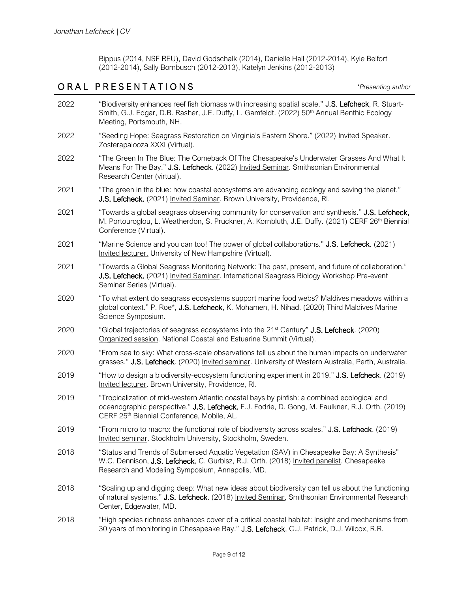Bippus (2014, NSF REU), David Godschalk (2014), Danielle Hall (2012-2014), Kyle Belfort (2012-2014), Sally Bornbusch (2012-2013), Katelyn Jenkins (2012-2013)

### O R A L P R E S E N T A T I O N S *\*Presenting author*

| 2022 | "Biodiversity enhances reef fish biomass with increasing spatial scale." J.S. Lefcheck, R. Stuart-<br>Smith, G.J. Edgar, D.B. Rasher, J.E. Duffy, L. Gamfeldt. (2022) 50 <sup>th</sup> Annual Benthic Ecology<br>Meeting, Portsmouth, NH.    |
|------|----------------------------------------------------------------------------------------------------------------------------------------------------------------------------------------------------------------------------------------------|
| 2022 | "Seeding Hope: Seagrass Restoration on Virginia's Eastern Shore." (2022) Invited Speaker.<br>Zosterapalooza XXXI (Virtual).                                                                                                                  |
| 2022 | "The Green In The Blue: The Comeback Of The Chesapeake's Underwater Grasses And What It<br>Means For The Bay." J.S. Lefcheck. (2022) Invited Seminar. Smithsonian Environmental<br>Research Center (virtual).                                |
| 2021 | "The green in the blue: how coastal ecosystems are advancing ecology and saving the planet."<br>J.S. Lefcheck. (2021) Invited Seminar. Brown University, Providence, RI.                                                                     |
| 2021 | "Towards a global seagrass observing community for conservation and synthesis." J.S. Lefcheck,<br>M. Portouroglou, L. Weatherdon, S. Pruckner, A. Kornbluth, J.E. Duffy. (2021) CERF 26th Biennial<br>Conference (Virtual).                  |
| 2021 | "Marine Science and you can too! The power of global collaborations." J.S. Lefcheck. (2021)<br>Invited lecturer. University of New Hampshire (Virtual).                                                                                      |
| 2021 | "Towards a Global Seagrass Monitoring Network: The past, present, and future of collaboration."<br>J.S. Lefcheck. (2021) Invited Seminar. International Seagrass Biology Workshop Pre-event<br>Seminar Series (Virtual).                     |
| 2020 | "To what extent do seagrass ecosystems support marine food webs? Maldives meadows within a<br>global context." P. Roe*, J.S. Lefcheck, K. Mohamen, H. Nihad. (2020) Third Maldives Marine<br>Science Symposium.                              |
| 2020 | "Global trajectories of seagrass ecosystems into the 21 <sup>st</sup> Century" <b>J.S. Lefcheck</b> . (2020)<br>Organized session. National Coastal and Estuarine Summit (Virtual).                                                          |
| 2020 | "From sea to sky: What cross-scale observations tell us about the human impacts on underwater<br>grasses." J.S. Lefcheck. (2020) Invited seminar. University of Western Australia, Perth, Australia.                                         |
| 2019 | "How to design a biodiversity-ecosystem functioning experiment in 2019." J.S. Lefcheck. (2019)<br>Invited lecturer. Brown University, Providence, RI.                                                                                        |
| 2019 | "Tropicalization of mid-western Atlantic coastal bays by pinfish: a combined ecological and<br>oceanographic perspective." J.S. Lefcheck, F.J. Fodrie, D. Gong, M. Faulkner, R.J. Orth. (2019)<br>CERF 25th Biennial Conference, Mobile, AL. |
| 2019 | "From micro to macro: the functional role of biodiversity across scales." J.S. Lefcheck. (2019)<br>Invited seminar. Stockholm University, Stockholm, Sweden.                                                                                 |
| 2018 | "Status and Trends of Submersed Aquatic Vegetation (SAV) in Chesapeake Bay: A Synthesis"<br>W.C. Dennison, J.S. Lefcheck, C. Gurbisz, R.J. Orth. (2018) Invited panelist. Chesapeake<br>Research and Modeling Symposium, Annapolis, MD.      |
| 2018 | "Scaling up and digging deep: What new ideas about biodiversity can tell us about the functioning<br>of natural systems." J.S. Lefcheck. (2018) Invited Seminar, Smithsonian Environmental Research<br>Center, Edgewater, MD.                |
| 2018 | "High species richness enhances cover of a critical coastal habitat: Insight and mechanisms from<br>30 years of monitoring in Chesapeake Bay." J.S. Lefcheck, C.J. Patrick, D.J. Wilcox, R.R.                                                |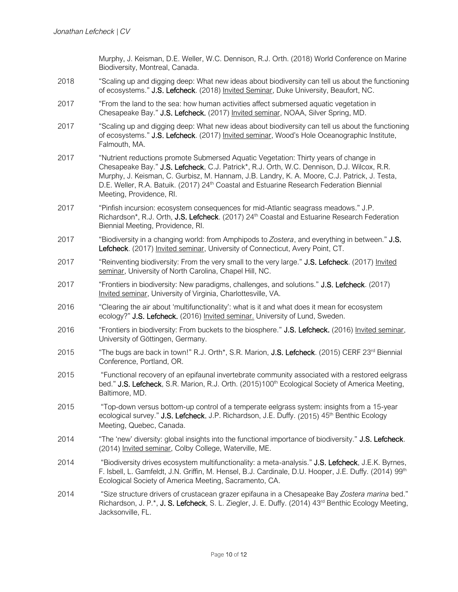Murphy, J. Keisman, D.E. Weller, W.C. Dennison, R.J. Orth. (2018) World Conference on Marine Biodiversity, Montreal, Canada.

- 2018 "Scaling up and digging deep: What new ideas about biodiversity can tell us about the functioning of ecosystems." J.S. Lefcheck. (2018) Invited Seminar, Duke University, Beaufort, NC.
- 2017 "From the land to the sea: how human activities affect submersed aquatic vegetation in Chesapeake Bay." J.S. Lefcheck. (2017) Invited seminar, NOAA, Silver Spring, MD.
- 2017 "Scaling up and digging deep: What new ideas about biodiversity can tell us about the functioning of ecosystems." J.S. Lefcheck. (2017) Invited seminar, Wood's Hole Oceanographic Institute, Falmouth, MA.
- 2017 "Nutrient reductions promote Submersed Aquatic Vegetation: Thirty years of change in Chesapeake Bay." J.S. Lefcheck, C.J. Patrick\*, R.J. Orth, W.C. Dennison, D.J. Wilcox, R.R. Murphy, J. Keisman, C. Gurbisz, M. Hannam, J.B. Landry, K. A. Moore, C.J. Patrick, J. Testa, D.E. Weller, R.A. Batuik. (2017) 24<sup>th</sup> Coastal and Estuarine Research Federation Biennial Meeting, Providence, RI.
- 2017 "Pinfish incursion: ecosystem consequences for mid-Atlantic seagrass meadows." J.P. Richardson\*, R.J. Orth, J.S. Lefcheck. (2017) 24<sup>th</sup> Coastal and Estuarine Research Federation Biennial Meeting, Providence, RI.
- 2017 "Biodiversity in a changing world: from Amphipods to *Zostera*, and everything in between." J.S. Lefcheck. (2017) Invited seminar, University of Connecticut, Avery Point, CT.
- 2017 "Reinventing biodiversity: From the very small to the very large." J.S. Lefcheck. (2017) Invited seminar, University of North Carolina, Chapel Hill, NC.
- 2017 "Frontiers in biodiversity: New paradigms, challenges, and solutions." J.S. Lefcheck. (2017) Invited seminar, University of Virginia, Charlottesville, VA.
- 2016 "Clearing the air about 'multifunctionality': what is it and what does it mean for ecosystem ecology?" J.S. Lefcheck. (2016) Invited seminar. University of Lund, Sweden.
- 2016 "Frontiers in biodiversity: From buckets to the biosphere." J.S. Lefcheck. (2016) Invited seminar, University of Göttingen, Germany.
- 2015 "The bugs are back in town!" R.J. Orth\*, S.R. Marion, J.S. Lefcheck. (2015) CERF 23<sup>rd</sup> Biennial Conference, Portland, OR.
- 2015 "Functional recovery of an epifaunal invertebrate community associated with a restored eelgrass bed." J.S. Lefcheck, S.R. Marion, R.J. Orth. (2015)100<sup>th</sup> Ecological Society of America Meeting, Baltimore, MD.
- 2015 "Top-down versus bottom-up control of a temperate eelgrass system: insights from a 15-year ecological survey." J.S. Lefcheck, J.P. Richardson, J.E. Duffy. (2015) 45<sup>th</sup> Benthic Ecology Meeting, Quebec, Canada.
- 2014 "The 'new' diversity: global insights into the functional importance of biodiversity." J.S. Lefcheck. (2014) Invited seminar, Colby College, Waterville, ME.
- 2014 "Biodiversity drives ecosystem multifunctionality: a meta-analysis." J.S. Lefcheck, J.E.K. Byrnes, F. Isbell, L. Gamfeldt, J.N. Griffin, M. Hensel, B.J. Cardinale, D.U. Hooper, J.E. Duffy. (2014) 99<sup>th</sup> Ecological Society of America Meeting, Sacramento, CA.
- 2014 "Size structure drivers of crustacean grazer epifauna in a Chesapeake Bay *Zostera marina* bed." Richardson, J. P.\*, J. S. Lefcheck, S. L. Ziegler, J. E. Duffy. (2014) 43<sup>rd</sup> Benthic Ecology Meeting, Jacksonville, FL.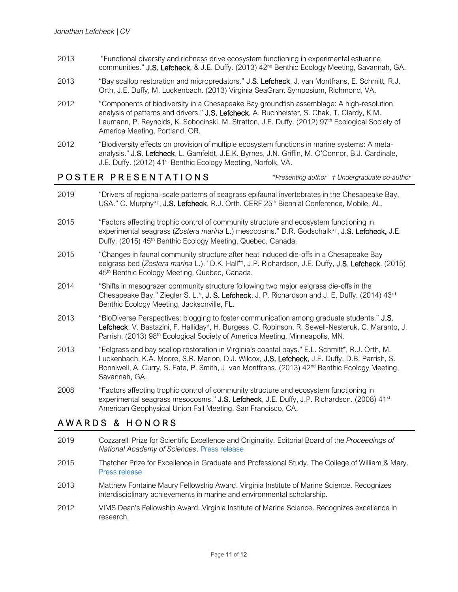- 2013 "Functional diversity and richness drive ecosystem functioning in experimental estuarine communities." J.S. Lefcheck, & J.E. Duffy. (2013) 42<sup>nd</sup> Benthic Ecology Meeting, Savannah, GA.
- 2013 "Bay scallop restoration and micropredators." J.S. Lefcheck, J. van Montfrans, E. Schmitt, R.J. Orth, J.E. Duffy, M. Luckenbach. (2013) Virginia SeaGrant Symposium, Richmond, VA.
- 2012 "Components of biodiversity in a Chesapeake Bay groundfish assemblage: A high-resolution analysis of patterns and drivers." J.S. Lefcheck, A. Buchheister, S. Chak, T. Clardy, K.M. Laumann, P. Reynolds, K. Sobocinski, M. Stratton, J.E. Duffy. (2012) 97<sup>th</sup> Ecological Society of America Meeting, Portland, OR.
- 2012 "Biodiversity effects on provision of multiple ecosystem functions in marine systems: A metaanalysis." J.S. Lefcheck, L. Gamfeldt, J.E.K. Byrnes, J.N. Griffin, M. O'Connor, B.J. Cardinale, J.E. Duffy. (2012) 41<sup>st</sup> Benthic Ecology Meeting, Norfolk, VA.

### P O S T E R P R E S E N T A T I O N S *\*Presenting author † Undergraduate co-author*

- 2019 "Drivers of regional-scale patterns of seagrass epifaunal invertebrates in the Chesapeake Bay, USA." C. Murphy\*<sup>†</sup>, J.S. Lefcheck, R.J. Orth. CERF 25<sup>th</sup> Biennial Conference, Mobile, AL.
- 2015 "Factors affecting trophic control of community structure and ecosystem functioning in experimental seagrass (*Zostera marina* L.) mesocosms." D.R. Godschalk\* † , J.S. Lefcheck, J.E. Duffy. (2015) 45<sup>th</sup> Benthic Ecology Meeting, Quebec, Canada.
- 2015 "Changes in faunal community structure after heat induced die-offs in a Chesapeake Bay eelgrass bed (*Zostera marina* L.)." D.K. Hall\*† , J.P. Richardson, J.E. Duffy, J.S. Lefcheck. (2015) 45<sup>th</sup> Benthic Ecology Meeting, Quebec, Canada.
- 2014 "Shifts in mesograzer community structure following two major eelgrass die-offs in the Chesapeake Bay." Ziegler S. L.\*, J. S. Lefcheck, J. P. Richardson and J. E. Duffy. (2014) 43<sup>rd</sup> Benthic Ecology Meeting, Jacksonville, FL.
- 2013 "BioDiverse Perspectives: blogging to foster communication among graduate students." J.S. Lefcheck, V. Bastazini, F. Halliday\*, H. Burgess, C. Robinson, R. Sewell-Nesteruk, C. Maranto, J. Parrish. (2013) 98<sup>th</sup> Ecological Society of America Meeting, Minneapolis, MN.
- 2013 "Eelgrass and bay scallop restoration in Virginia's coastal bays." E.L. Schmitt\*, R.J. Orth, M. Luckenbach, K.A. Moore, S.R. Marion, D.J. Wilcox, J.S. Lefcheck, J.E. Duffy, D.B. Parrish, S. Bonniwell, A. Curry, S. Fate, P. Smith, J. van Montfrans. (2013) 42<sup>nd</sup> Benthic Ecology Meeting, Savannah, GA.
- 2008 "Factors affecting trophic control of community structure and ecosystem functioning in experimental seagrass mesocosms." J.S. Lefcheck, J.E. Duffy, J.P. Richardson. (2008) 41<sup>st</sup> American Geophysical Union Fall Meeting, San Francisco, CA.

### AWARDS & HONORS

- 2019 Cozzarelli Prize for Scientific Excellence and Originality. Editorial Board of the *Proceedings of National Academy of Sciences*. [Press release](http://www.nasonline.org/news-and-multimedia/news/pnas-cozzarelli-2018.html)
- 2015 Thatcher Prize for Excellence in Graduate and Professional Study. The College of William & Mary. [Press release](http://www.vims.edu/newsandevents/topstories/thatcher_lefcheck.php)
- 2013 Matthew Fontaine Maury Fellowship Award. Virginia Institute of Marine Science. Recognizes interdisciplinary achievements in marine and environmental scholarship.
- 2012 VIMS Dean's Fellowship Award. Virginia Institute of Marine Science. Recognizes excellence in research.